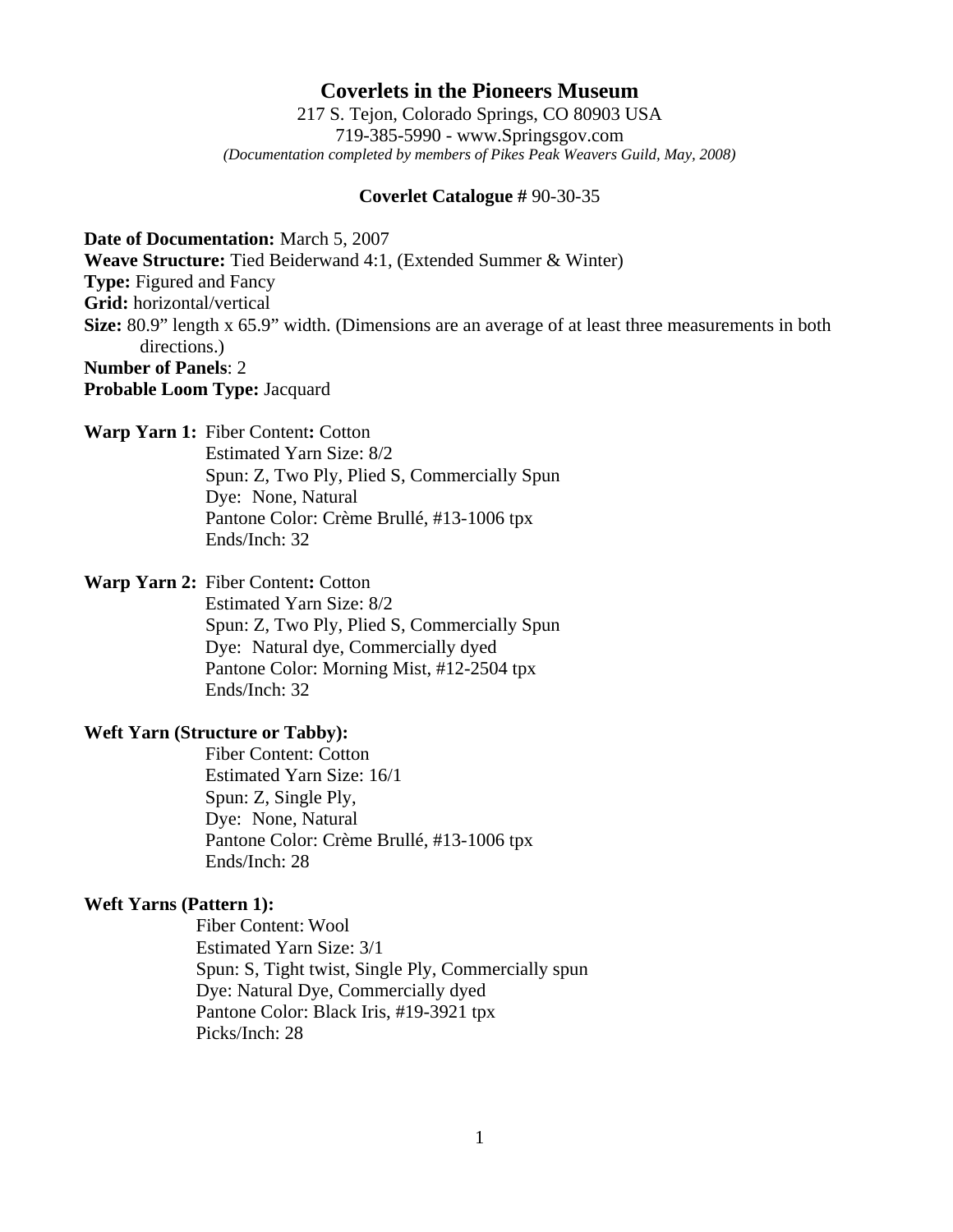## **Coverlets in the Pioneers Museum**

217 S. Tejon, Colorado Springs, CO 80903 USA 719-385-5990 - www.Springsgov.com *(Documentation completed by members of Pikes Peak Weavers Guild, May, 2008)* 

#### **Coverlet Catalogue #** 90-30-35

**Date of Documentation:** March 5, 2007

**Weave Structure:** Tied Beiderwand 4:1, (Extended Summer & Winter)

**Type:** Figured and Fancy

**Grid:** horizontal/vertical

**Size:** 80.9" length x 65.9" width. (Dimensions are an average of at least three measurements in both directions.)

## **Number of Panels**: 2

**Probable Loom Type:** Jacquard

#### **Warp Yarn 1:** Fiber Content**:** Cotton

 Estimated Yarn Size: 8/2 Spun: Z, Two Ply, Plied S, Commercially Spun Dye: None, Natural Pantone Color: Crème Brullé, #13-1006 tpx Ends/Inch: 32

# **Warp Yarn 2:** Fiber Content**:** Cotton

 Estimated Yarn Size: 8/2 Spun: Z, Two Ply, Plied S, Commercially Spun Dye: Natural dye, Commercially dyed Pantone Color: Morning Mist, #12-2504 tpx Ends/Inch: 32

#### **Weft Yarn (Structure or Tabby):**

 Fiber Content: Cotton Estimated Yarn Size: 16/1 Spun: Z, Single Ply, Dye: None, Natural Pantone Color: Crème Brullé, #13-1006 tpx Ends/Inch: 28

#### **Weft Yarns (Pattern 1):**

 Fiber Content: Wool Estimated Yarn Size: 3/1 Spun: S, Tight twist, Single Ply, Commercially spun Dye: Natural Dye, Commercially dyed Pantone Color: Black Iris, #19-3921 tpx Picks/Inch: 28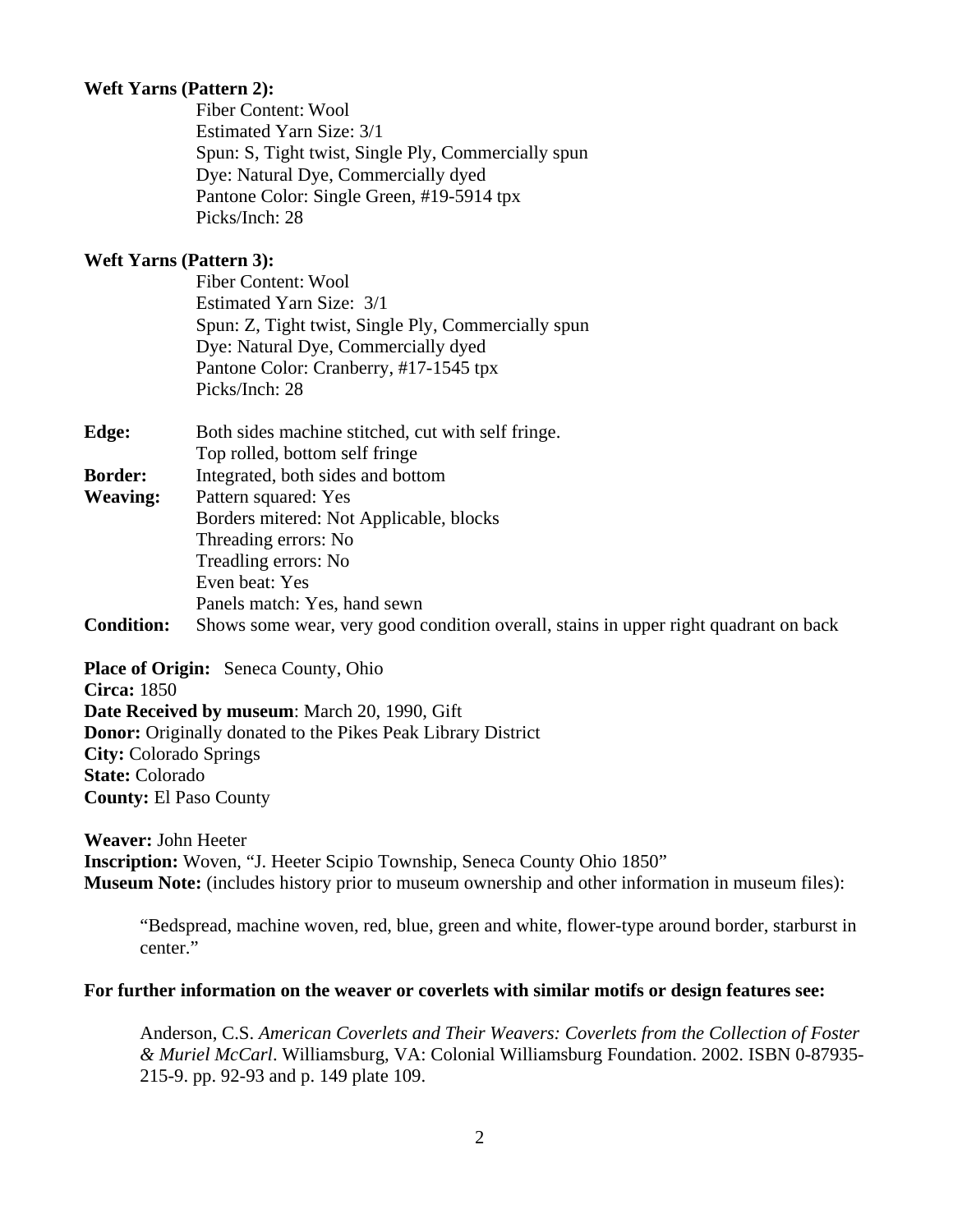# **Weft Yarns (Pattern 2):**

 Fiber Content: Wool Estimated Yarn Size: 3/1 Spun: S, Tight twist, Single Ply, Commercially spun Dye: Natural Dye, Commercially dyed Pantone Color: Single Green, #19-5914 tpx Picks/Inch: 28

#### **Weft Yarns (Pattern 3):**

 Fiber Content: Wool Estimated Yarn Size: 3/1 Spun: Z, Tight twist, Single Ply, Commercially spun Dye: Natural Dye, Commercially dyed Pantone Color: Cranberry, #17-1545 tpx Picks/Inch: 28

| Edge:             | Both sides machine stitched, cut with self fringe.                                   |
|-------------------|--------------------------------------------------------------------------------------|
|                   | Top rolled, bottom self fringe                                                       |
| <b>Border:</b>    | Integrated, both sides and bottom                                                    |
| <b>Weaving:</b>   | Pattern squared: Yes                                                                 |
|                   | Borders mitered: Not Applicable, blocks                                              |
|                   | Threading errors: No                                                                 |
|                   | Treadling errors: No                                                                 |
|                   | Even beat: Yes                                                                       |
|                   | Panels match: Yes, hand sewn                                                         |
| <b>Condition:</b> | Shows some wear, very good condition overall, stains in upper right quadrant on back |

**Place of Origin:** Seneca County, Ohio **Circa:** 1850 **Date Received by museum**: March 20, 1990, Gift **Donor:** Originally donated to the Pikes Peak Library District **City:** Colorado Springs **State:** Colorado **County:** El Paso County

**Weaver:** John Heeter **Inscription:** Woven, "J. Heeter Scipio Township, Seneca County Ohio 1850" **Museum Note:** (includes history prior to museum ownership and other information in museum files):

 "Bedspread, machine woven, red, blue, green and white, flower-type around border, starburst in center."

#### **For further information on the weaver or coverlets with similar motifs or design features see:**

 Anderson, C.S. *American Coverlets and Their Weavers: Coverlets from the Collection of Foster & Muriel McCarl*. Williamsburg, VA: Colonial Williamsburg Foundation. 2002. ISBN 0-87935- 215-9. pp. 92-93 and p. 149 plate 109.